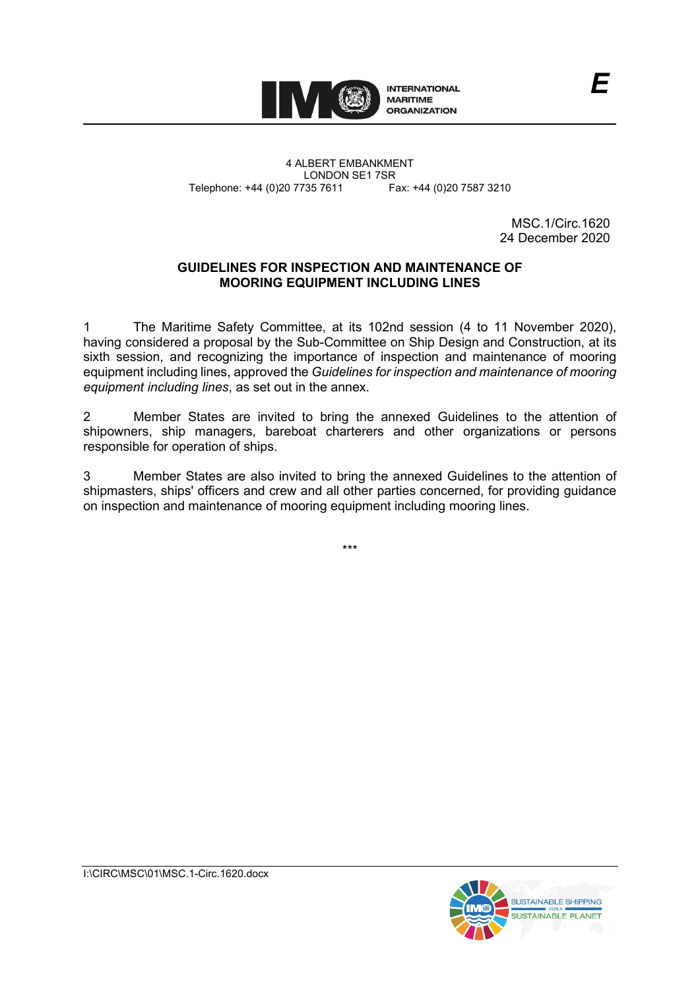

4 ALBERT EMBANKMENT Telephone: +44 (0)20 7735 7611

LONDON SE1 7SR<br>735 7611 Fax: +44 (0)20 7587 3210

MSC.1/Circ.1620 24 December 2020

### **GUIDELINES FOR INSPECTION AND MAINTENANCE OF MOORING EQUIPMENT INCLUDING LINES**

1 The Maritime Safety Committee, at its 102nd session (4 to 11 November 2020), having considered a proposal by the Sub-Committee on Ship Design and Construction, at its sixth session, and recognizing the importance of inspection and maintenance of mooring equipment including lines, approved the *Guidelines for inspection and maintenance of mooring equipment including lines*, as set out in the annex.

2 Member States are invited to bring the annexed Guidelines to the attention of shipowners, ship managers, bareboat charterers and other organizations or persons responsible for operation of ships.

3 Member States are also invited to bring the annexed Guidelines to the attention of shipmasters, ships' officers and crew and all other parties concerned, for providing guidance on inspection and maintenance of mooring equipment including mooring lines.

\*\*\*

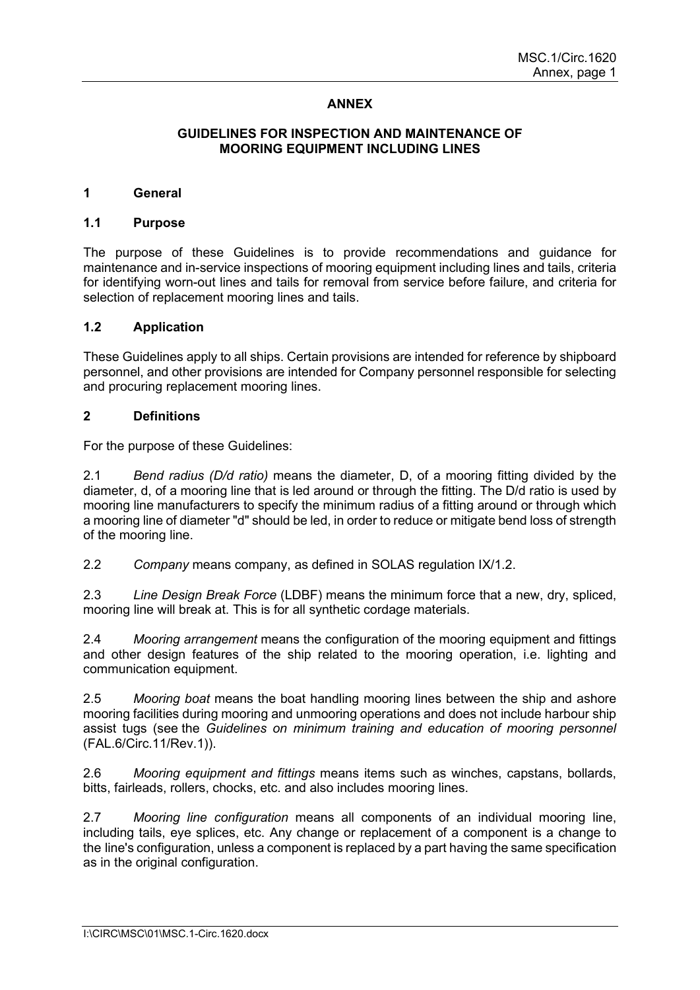## **ANNEX**

#### **GUIDELINES FOR INSPECTION AND MAINTENANCE OF MOORING EQUIPMENT INCLUDING LINES**

#### **1 General**

#### **1.1 Purpose**

The purpose of these Guidelines is to provide recommendations and guidance for maintenance and in-service inspections of mooring equipment including lines and tails, criteria for identifying worn-out lines and tails for removal from service before failure, and criteria for selection of replacement mooring lines and tails.

#### **1.2 Application**

These Guidelines apply to all ships. Certain provisions are intended for reference by shipboard personnel, and other provisions are intended for Company personnel responsible for selecting and procuring replacement mooring lines.

#### **2 Definitions**

For the purpose of these Guidelines:

2.1 *Bend radius (D/d ratio)* means the diameter, D, of a mooring fitting divided by the diameter, d, of a mooring line that is led around or through the fitting. The D/d ratio is used by mooring line manufacturers to specify the minimum radius of a fitting around or through which a mooring line of diameter "d" should be led, in order to reduce or mitigate bend loss of strength of the mooring line.

2.2 *Company* means company, as defined in SOLAS regulation IX/1.2.

2.3 *Line Design Break Force* (LDBF) means the minimum force that a new, dry, spliced, mooring line will break at. This is for all synthetic cordage materials.

2.4 *Mooring arrangement* means the configuration of the mooring equipment and fittings and other design features of the ship related to the mooring operation, i.e. lighting and communication equipment.

2.5 *Mooring boat* means the boat handling mooring lines between the ship and ashore mooring facilities during mooring and unmooring operations and does not include harbour ship assist tugs (see the *Guidelines on minimum training and education of mooring personnel* (FAL.6/Circ.11/Rev.1)).

2.6 *Mooring equipment and fittings* means items such as winches, capstans, bollards, bitts, fairleads, rollers, chocks, etc. and also includes mooring lines.

2.7 *Mooring line configuration* means all components of an individual mooring line, including tails, eye splices, etc. Any change or replacement of a component is a change to the line's configuration, unless a component is replaced by a part having the same specification as in the original configuration.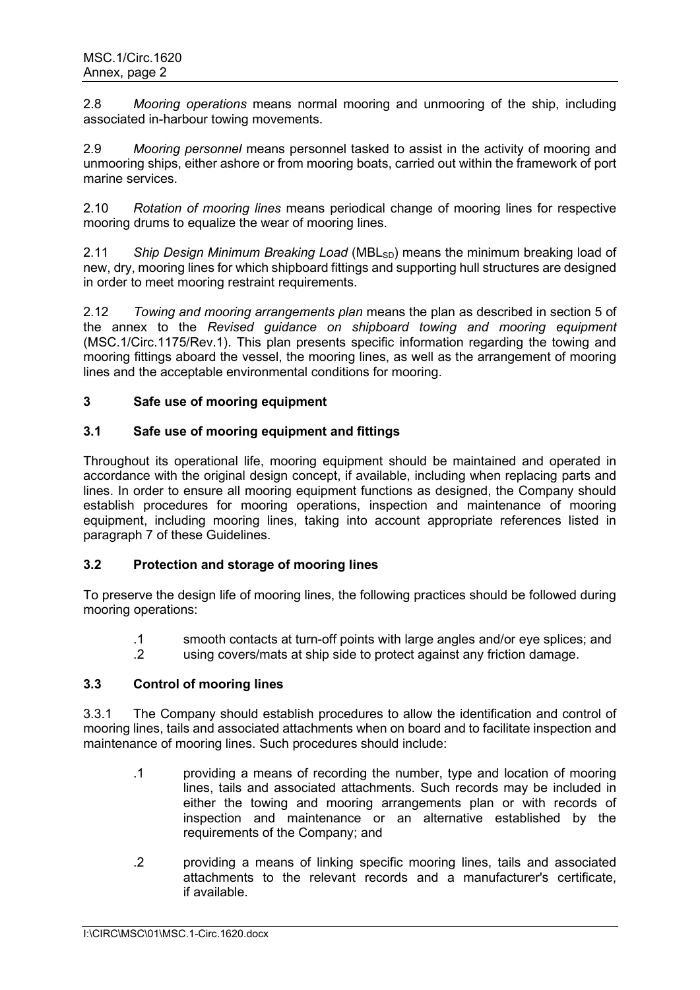2.8 *Mooring operations* means normal mooring and unmooring of the ship, including associated in-harbour towing movements.

2.9 *Mooring personnel* means personnel tasked to assist in the activity of mooring and unmooring ships, either ashore or from mooring boats, carried out within the framework of port marine services.

2.10 *Rotation of mooring lines* means periodical change of mooring lines for respective mooring drums to equalize the wear of mooring lines.

2.11 *Ship Design Minimum Breaking Load* (MBL<sub>SD</sub>) means the minimum breaking load of new, dry, mooring lines for which shipboard fittings and supporting hull structures are designed in order to meet mooring restraint requirements.

2.12 *Towing and mooring arrangements plan* means the plan as described in section 5 of the annex to the *Revised guidance on shipboard towing and mooring equipment* (MSC.1/Circ.1175/Rev.1). This plan presents specific information regarding the towing and mooring fittings aboard the vessel, the mooring lines, as well as the arrangement of mooring lines and the acceptable environmental conditions for mooring.

## **3 Safe use of mooring equipment**

### **3.1 Safe use of mooring equipment and fittings**

Throughout its operational life, mooring equipment should be maintained and operated in accordance with the original design concept, if available, including when replacing parts and lines. In order to ensure all mooring equipment functions as designed, the Company should establish procedures for mooring operations, inspection and maintenance of mooring equipment, including mooring lines, taking into account appropriate references listed in paragraph 7 of these Guidelines.

# **3.2 Protection and storage of mooring lines**

To preserve the design life of mooring lines, the following practices should be followed during mooring operations:

- .1 smooth contacts at turn-off points with large angles and/or eye splices; and
- .2 using covers/mats at ship side to protect against any friction damage.

### **3.3 Control of mooring lines**

3.3.1 The Company should establish procedures to allow the identification and control of mooring lines, tails and associated attachments when on board and to facilitate inspection and maintenance of mooring lines. Such procedures should include:

- .1 providing a means of recording the number, type and location of mooring lines, tails and associated attachments. Such records may be included in either the towing and mooring arrangements plan or with records of inspection and maintenance or an alternative established by the requirements of the Company; and
- .2 providing a means of linking specific mooring lines, tails and associated attachments to the relevant records and a manufacturer's certificate, if available.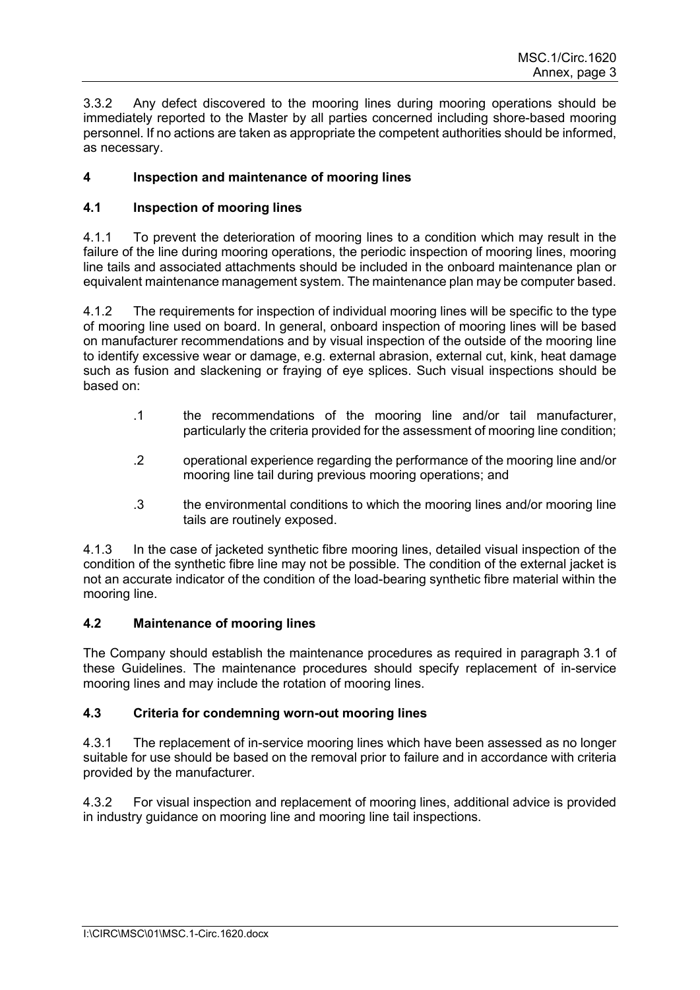3.3.2 Any defect discovered to the mooring lines during mooring operations should be immediately reported to the Master by all parties concerned including shore-based mooring personnel. If no actions are taken as appropriate the competent authorities should be informed, as necessary.

# **4 Inspection and maintenance of mooring lines**

## **4.1 Inspection of mooring lines**

4.1.1 To prevent the deterioration of mooring lines to a condition which may result in the failure of the line during mooring operations, the periodic inspection of mooring lines, mooring line tails and associated attachments should be included in the onboard maintenance plan or equivalent maintenance management system. The maintenance plan may be computer based.

4.1.2 The requirements for inspection of individual mooring lines will be specific to the type of mooring line used on board. In general, onboard inspection of mooring lines will be based on manufacturer recommendations and by visual inspection of the outside of the mooring line to identify excessive wear or damage, e.g. external abrasion, external cut, kink, heat damage such as fusion and slackening or fraying of eye splices. Such visual inspections should be based on:

- .1 the recommendations of the mooring line and/or tail manufacturer, particularly the criteria provided for the assessment of mooring line condition;
- .2 operational experience regarding the performance of the mooring line and/or mooring line tail during previous mooring operations; and
- .3 the environmental conditions to which the mooring lines and/or mooring line tails are routinely exposed.

4.1.3 In the case of jacketed synthetic fibre mooring lines, detailed visual inspection of the condition of the synthetic fibre line may not be possible. The condition of the external jacket is not an accurate indicator of the condition of the load-bearing synthetic fibre material within the mooring line.

### **4.2 Maintenance of mooring lines**

The Company should establish the maintenance procedures as required in paragraph 3.1 of these Guidelines. The maintenance procedures should specify replacement of in-service mooring lines and may include the rotation of mooring lines.

# **4.3 Criteria for condemning worn-out mooring lines**

4.3.1 The replacement of in-service mooring lines which have been assessed as no longer suitable for use should be based on the removal prior to failure and in accordance with criteria provided by the manufacturer.

4.3.2 For visual inspection and replacement of mooring lines, additional advice is provided in industry guidance on mooring line and mooring line tail inspections.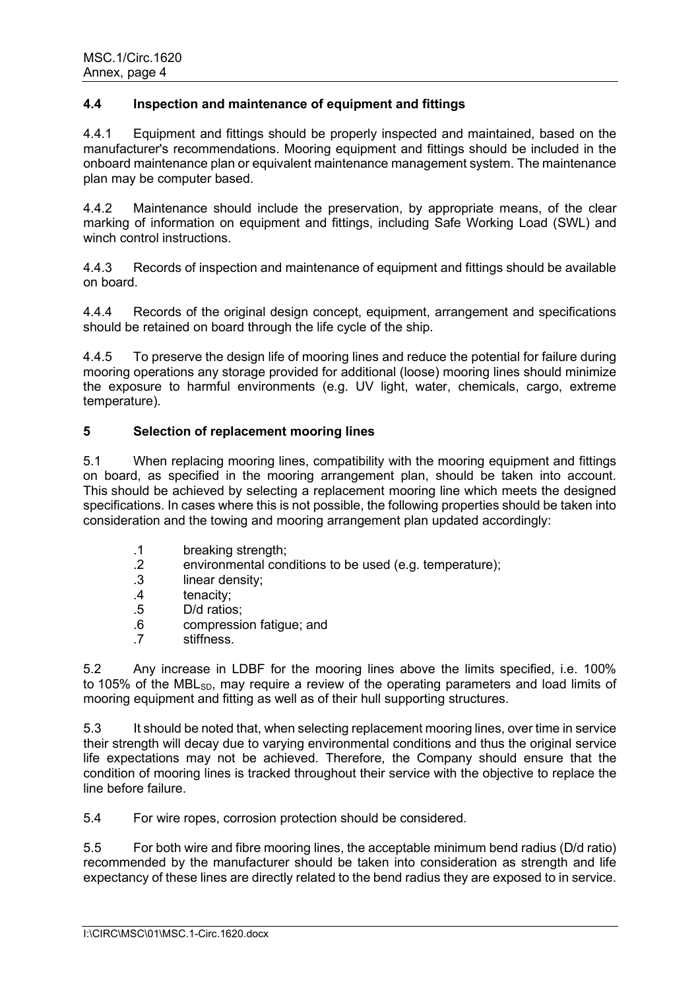## **4.4 Inspection and maintenance of equipment and fittings**

4.4.1 Equipment and fittings should be properly inspected and maintained, based on the manufacturer's recommendations. Mooring equipment and fittings should be included in the onboard maintenance plan or equivalent maintenance management system. The maintenance plan may be computer based.

4.4.2 Maintenance should include the preservation, by appropriate means, of the clear marking of information on equipment and fittings, including Safe Working Load (SWL) and winch control instructions.

4.4.3 Records of inspection and maintenance of equipment and fittings should be available on board.

4.4.4 Records of the original design concept, equipment, arrangement and specifications should be retained on board through the life cycle of the ship.

4.4.5 To preserve the design life of mooring lines and reduce the potential for failure during mooring operations any storage provided for additional (loose) mooring lines should minimize the exposure to harmful environments (e.g. UV light, water, chemicals, cargo, extreme temperature).

### **5 Selection of replacement mooring lines**

5.1 When replacing mooring lines, compatibility with the mooring equipment and fittings on board, as specified in the mooring arrangement plan, should be taken into account. This should be achieved by selecting a replacement mooring line which meets the designed specifications. In cases where this is not possible, the following properties should be taken into consideration and the towing and mooring arrangement plan updated accordingly:

- .1 breaking strength;
- .2 environmental conditions to be used (e.g. temperature);
- linear density;
- .4 tenacity;
- .5 D/d ratios;
- .6 compression fatigue; and
- stiffness.

5.2 Any increase in LDBF for the mooring lines above the limits specified, i.e. 100% to 105% of the MBL<sub>SD</sub>, may require a review of the operating parameters and load limits of mooring equipment and fitting as well as of their hull supporting structures.

5.3 It should be noted that, when selecting replacement mooring lines, over time in service their strength will decay due to varying environmental conditions and thus the original service life expectations may not be achieved. Therefore, the Company should ensure that the condition of mooring lines is tracked throughout their service with the objective to replace the line before failure.

5.4 For wire ropes, corrosion protection should be considered.

5.5 For both wire and fibre mooring lines, the acceptable minimum bend radius (D/d ratio) recommended by the manufacturer should be taken into consideration as strength and life expectancy of these lines are directly related to the bend radius they are exposed to in service.